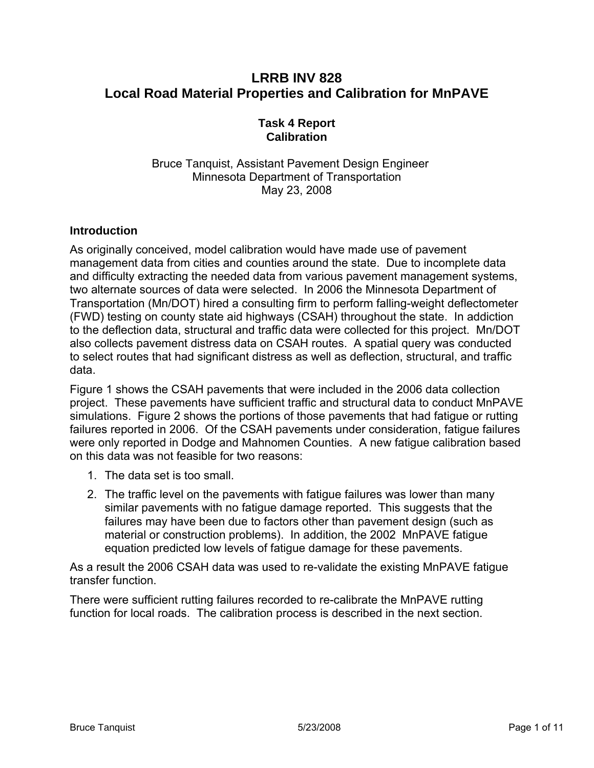# **LRRB INV 828 Local Road Material Properties and Calibration for MnPAVE**

## **Task 4 Report Calibration**

Bruce Tanquist, Assistant Pavement Design Engineer Minnesota Department of Transportation May 23, 2008

## **Introduction**

As originally conceived, model calibration would have made use of pavement management data from cities and counties around the state. Due to incomplete data and difficulty extracting the needed data from various pavement management systems, two alternate sources of data were selected. In 2006 the Minnesota Department of Transportation (Mn/DOT) hired a consulting firm to perform falling-weight deflectometer (FWD) testing on county state aid highways (CSAH) throughout the state. In addiction to the deflection data, structural and traffic data were collected for this project. Mn/DOT also collects pavement distress data on CSAH routes. A spatial query was conducted to select routes that had significant distress as well as deflection, structural, and traffic data.

[Figure 1](#page-1-0) shows the CSAH pavements that were included in the 2006 data collection project. These pavements have sufficient traffic and structural data to conduct MnPAVE simulations. [Figure 2](#page-2-0) shows the portions of those pavements that had fatigue or rutting failures reported in 2006. Of the CSAH pavements under consideration, fatigue failures were only reported in Dodge and Mahnomen Counties. A new fatigue calibration based on this data was not feasible for two reasons:

- 1. The data set is too small.
- 2. The traffic level on the pavements with fatigue failures was lower than many similar pavements with no fatigue damage reported. This suggests that the failures may have been due to factors other than pavement design (such as material or construction problems). In addition, the 2002 MnPAVE fatigue equation predicted low levels of fatigue damage for these pavements.

As a result the 2006 CSAH data was used to re-validate the existing MnPAVE fatigue transfer function.

There were sufficient rutting failures recorded to re-calibrate the MnPAVE rutting function for local roads. The calibration process is described in the next section.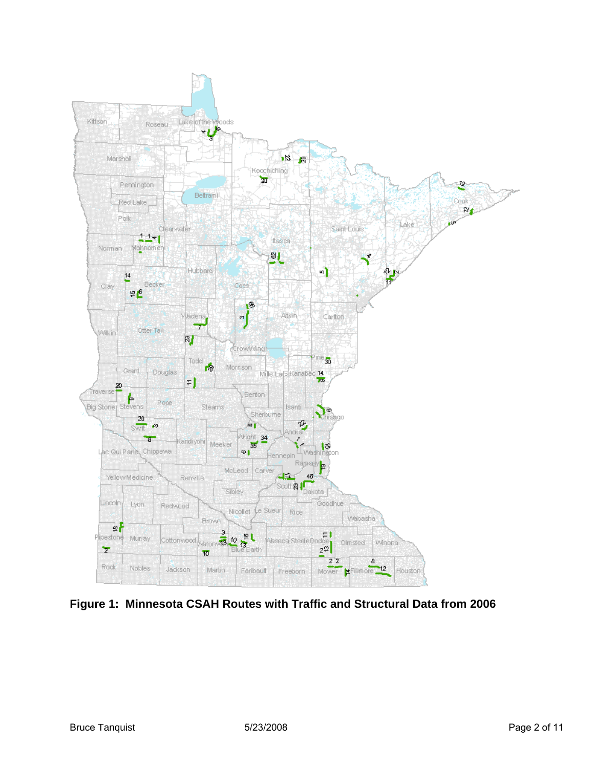

<span id="page-1-0"></span>**Figure 1: Minnesota CSAH Routes with Traffic and Structural Data from 2006**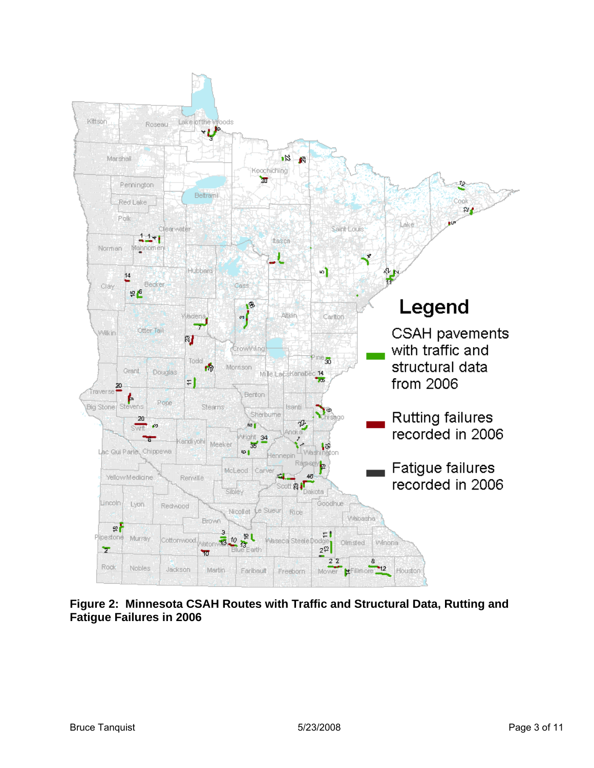

<span id="page-2-0"></span>**Figure 2: Minnesota CSAH Routes with Traffic and Structural Data, Rutting and Fatigue Failures in 2006**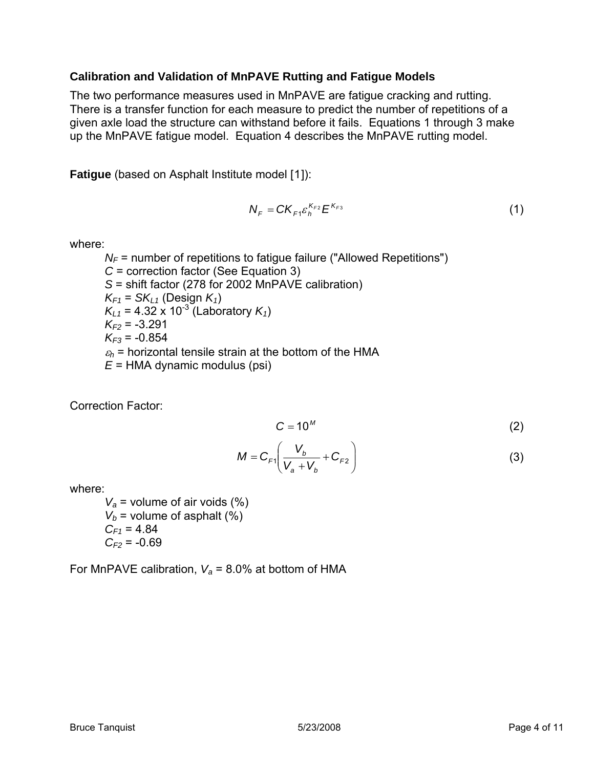#### **Calibration and Validation of MnPAVE Rutting and Fatigue Models**

The two performance measures used in MnPAVE are fatigue cracking and rutting. There is a transfer function for each measure to predict the number of repetitions of a given axle load the structure can withstand before it fails. Equations 1 through 3 make up the MnPAVE fatigue model. Equation 4 describes the MnPAVE rutting model.

**Fatigue** (based on Asphalt Institute model [[1](#page-10-0)]):

$$
N_F = CK_{F1} \varepsilon_h^{K_{F2}} E^{K_{F3}} \tag{1}
$$

where:

 $N_F$  = number of repetitions to fatigue failure ("Allowed Repetitions") *C* = correction factor (See Equation 3) *S* = shift factor (278 for 2002 MnPAVE calibration)  $K_{F1}$  = *SK<sub>L1</sub>* (Design  $K_1$ )  $K_{11}$  = 4.32 x 10<sup>-3</sup> (Laboratory  $K_{11}$ )  $K_{F2}$  = -3.291  $K_{F3}$  = -0.854  $\varepsilon_h$  = horizontal tensile strain at the bottom of the HMA *E* = HMA dynamic modulus (psi)

Correction Factor:

$$
C = 10^M \tag{2}
$$

$$
M = C_{F1} \left( \frac{V_b}{V_a + V_b} + C_{F2} \right)
$$
 (3)

where:

*Va* = volume of air voids (%)  $V_b$  = volume of asphalt (%)  $C_{F1} = 4.84$  $C_{F2}$  = -0.69

For MnPAVE calibration,  $V_a$  = 8.0% at bottom of HMA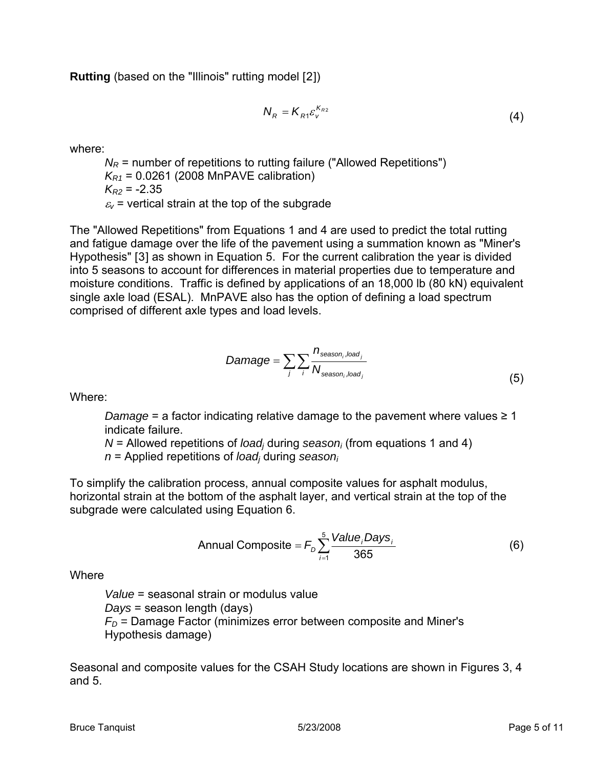**Rutting** (based on the "Illinois" rutting model [[2](#page-10-1)])

$$
N_R = K_{R1} \varepsilon_v^{K_{R2}} \tag{4}
$$

where:

 $N_R$  = number of repetitions to rutting failure ("Allowed Repetitions") *K<sub>R1</sub>* = 0.0261 (2008 MnPAVE calibration)  $K_{R2}$  = -2.35  $\varepsilon_{\rm v}$  = vertical strain at the top of the subgrade

The "Allowed Repetitions" from Equations 1 and 4 are used to predict the total rutting and fatigue damage over the life of the pavement using a summation known as "Miner's Hypothesis" [[3](#page-10-1)] as shown in Equation 5. For the current calibration the year is divided into 5 seasons to account for differences in material properties due to temperature and moisture conditions. Traffic is defined by applications of an 18,000 lb (80 kN) equivalent single axle load (ESAL). MnPAVE also has the option of defining a load spectrum comprised of different axle types and load levels.

$$
Damage = \sum_{j} \sum_{i} \frac{n_{\text{season}_i, load_j}}{N_{\text{season}_i, load_j}}
$$
(5)

Where:

*Damage* = a factor indicating relative damage to the pavement where values ≥ 1 indicate failure.

*N* = Allowed repetitions of *load<sub>i</sub>* during *season<sub>i</sub>* (from equations 1 and 4)

*n* = Applied repetitions of *loadj* during *seasoni*

To simplify the calibration process, annual composite values for asphalt modulus, horizontal strain at the bottom of the asphalt layer, and vertical strain at the top of the subgrade were calculated using Equation 6.

Annual Composite = 
$$
F_D \sum_{i=1}^{5} \frac{Value_i Days_i}{365}
$$
 (6)

**Where** 

*Value* = seasonal strain or modulus value *Days* = season length (days) *FD =* Damage Factor (minimizes error between composite and Miner's Hypothesis damage)

Seasonal and composite values for the CSAH Study locations are shown in Figures 3, 4 and 5.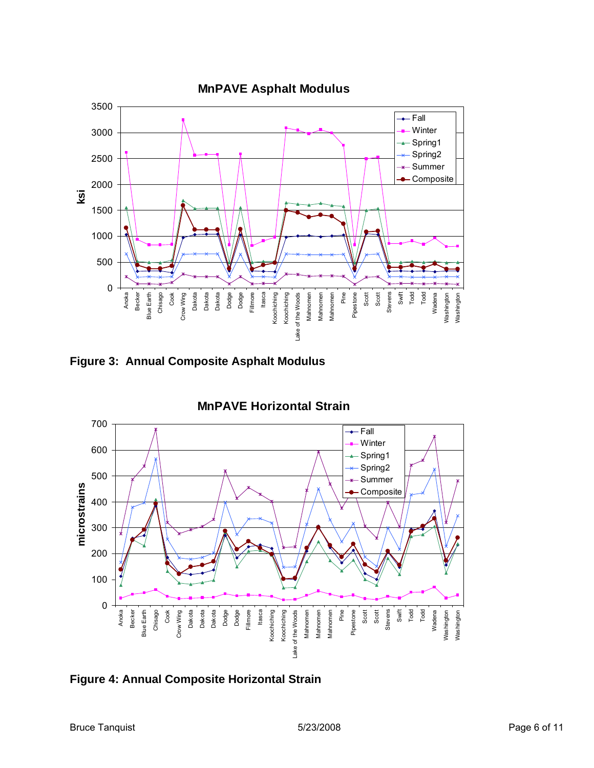

**Figure 3: Annual Composite Asphalt Modulus** 



**Figure 4: Annual Composite Horizontal Strain**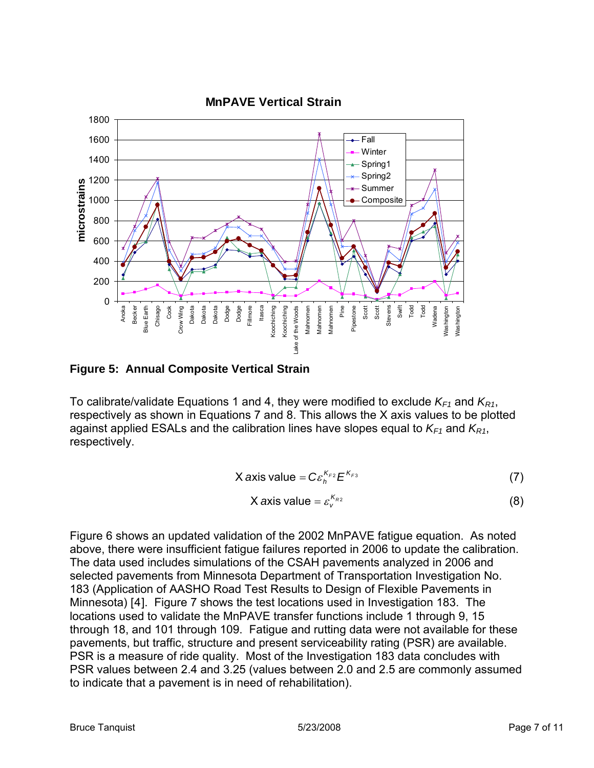

**Figure 5: Annual Composite Vertical Strain** 

To calibrate/validate Equations 1 and 4, they were modified to exclude  $K_{F1}$  and  $K_{R1}$ , respectively as shown in Equations 7 and 8. This allows the X axis values to be plotted against applied ESALs and the calibration lines have slopes equal to  $K_{F1}$  and  $K_{R1}$ , respectively.

$$
X axis value = C \varepsilon_h^{K_{F2}} E^{K_{F3}}
$$
 (7)

X axis value = 
$$
\varepsilon_v^{K_{R2}}
$$
 (8)

[Figure 6](#page-7-0) shows an updated validation of the 2002 MnPAVE fatigue equation. As noted above, there were insufficient fatigue failures reported in 2006 to update the calibration. The data used includes simulations of the CSAH pavements analyzed in 2006 and selected pavements from Minnesota Department of Transportation Investigation No. 183 (Application of AASHO Road Test Results to Design of Flexible Pavements in Minnesota) [[4](#page-10-1)]. [Figure 7](#page-8-0) shows the test locations used in Investigation 183. The locations used to validate the MnPAVE transfer functions include 1 through 9, 15 through 18, and 101 through 109. Fatigue and rutting data were not available for these pavements, but traffic, structure and present serviceability rating (PSR) are available. PSR is a measure of ride quality. Most of the Investigation 183 data concludes with PSR values between 2.4 and 3.25 (values between 2.0 and 2.5 are commonly assumed to indicate that a pavement is in need of rehabilitation).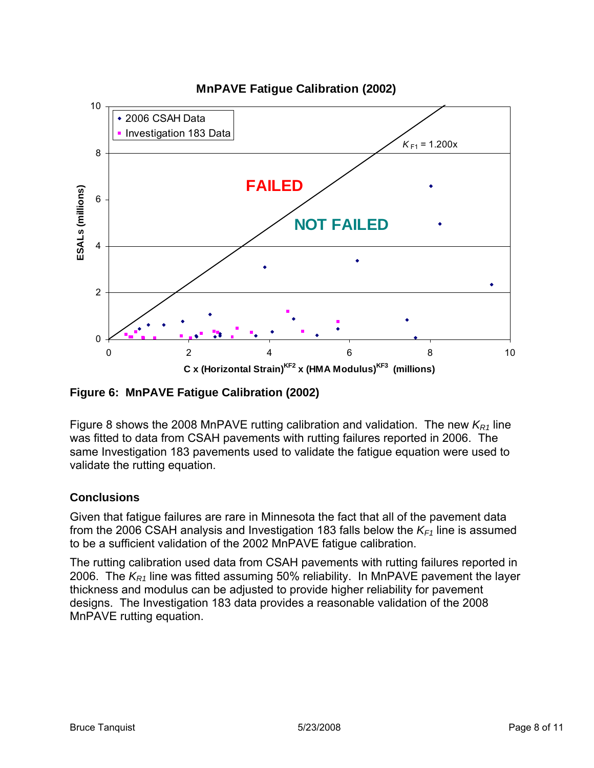

<span id="page-7-0"></span>**Figure 6: MnPAVE Fatigue Calibration (2002)** 

[Figure 8](#page-9-0) shows the 2008 MnPAVE rutting calibration and validation. The new  $K_{R1}$  line was fitted to data from CSAH pavements with rutting failures reported in 2006. The same Investigation 183 pavements used to validate the fatigue equation were used to validate the rutting equation.

## **Conclusions**

Given that fatigue failures are rare in Minnesota the fact that all of the pavement data from the 2006 CSAH analysis and Investigation 183 falls below the  $K_{F1}$  line is assumed to be a sufficient validation of the 2002 MnPAVE fatigue calibration.

The rutting calibration used data from CSAH pavements with rutting failures reported in 2006. The  $K_{R1}$  line was fitted assuming 50% reliability. In MnPAVE pavement the layer thickness and modulus can be adjusted to provide higher reliability for pavement designs. The Investigation 183 data provides a reasonable validation of the 2008 MnPAVE rutting equation.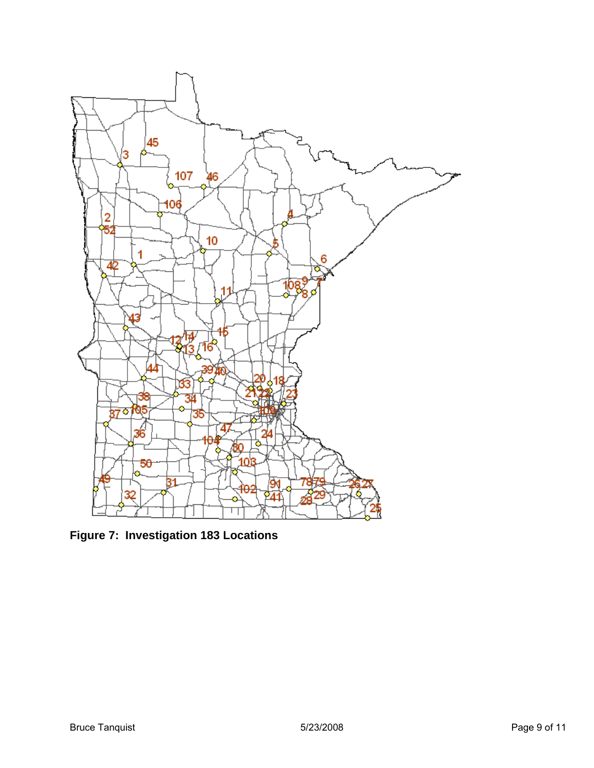

<span id="page-8-0"></span>**Figure 7: Investigation 183 Locations**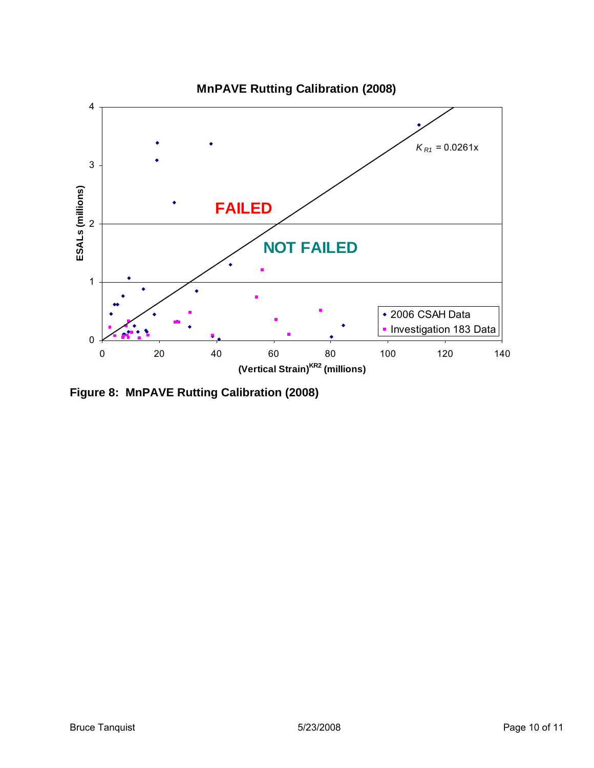

<span id="page-9-0"></span>**Figure 8: MnPAVE Rutting Calibration (2008)**